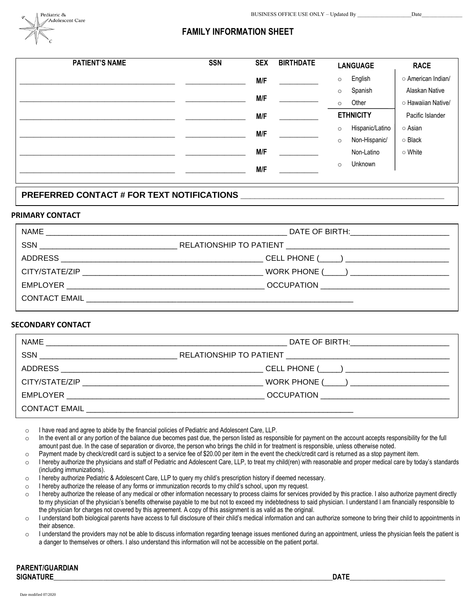

## **FAMILY INFORMATION SHEET**

| <b>PATIENT'S NAME</b> | <b>SSN</b> | <b>SEX</b> | <b>BIRTHDATE</b> | <b>LANGUAGE</b>            | <b>RACE</b>        |
|-----------------------|------------|------------|------------------|----------------------------|--------------------|
|                       |            | M/F        |                  | English<br>$\circ$         | o American Indian/ |
|                       |            |            |                  | Spanish<br>$\circ$         | Alaskan Native     |
|                       |            | M/F        |                  | Other<br>$\circ$           | ○ Hawaiian Native/ |
|                       |            | M/F        |                  | <b>ETHNICITY</b>           | Pacific Islander   |
|                       |            | M/F        |                  | Hispanic/Latino<br>$\circ$ | ○ Asian            |
|                       |            |            |                  | Non-Hispanic/<br>$\circ$   | $\circ$ Black      |
|                       |            | M/F        |                  | Non-Latino                 | ○ White            |
|                       |            | M/F        |                  | Unknown<br>$\circ$         |                    |
|                       |            |            |                  |                            |                    |

### PREFERRED CONTACT # FOR TEXT NOTIFICATIONS **\_\_\_**

#### **PRIMARY CONTACT**

| NAME<br><u> 1989 - Jan Barat, margaret amerikan basar dan bertama dalam pendadaran basar dalam pendada dan bertama dalam</u> |                                                 |  |  |  |
|------------------------------------------------------------------------------------------------------------------------------|-------------------------------------------------|--|--|--|
|                                                                                                                              |                                                 |  |  |  |
| <b>ADDRESS</b>                                                                                                               | CELL PHONE (_____) ____________________________ |  |  |  |
|                                                                                                                              |                                                 |  |  |  |
|                                                                                                                              | OCCUPATION ______________________________       |  |  |  |
|                                                                                                                              |                                                 |  |  |  |

#### **SECONDARY CONTACT**

| <b>NAME</b>                            | DATE OF BIRTH: ____________________________ |
|----------------------------------------|---------------------------------------------|
|                                        |                                             |
|                                        |                                             |
|                                        |                                             |
|                                        | OCCUPATION ______________________________   |
| CONTACT EMAIL <b>EXECUTER SERVICES</b> |                                             |

o I have read and agree to abide by the financial policies of Pediatric and Adolescent Care, LLP.

- o In the event all or any portion of the balance due becomes past due, the person listed as responsible for payment on the account accepts responsibility for the full amount past due. In the case of separation or divorce, the person who brings the child in for treatment is responsible, unless otherwise noted.
- o Payment made by check/credit card is subject to a service fee of \$20.00 per item in the event the check/credit card is returned as a stop payment item.
- $\circ$  I hereby authorize the physicians and staff of Pediatric and Adolescent Care, LLP, to treat my child(ren) with reasonable and proper medical care by today's standards (including immunizations).
- o I hereby authorize Pediatric & Adolescent Care, LLP to query my child's prescription history if deemed necessary.
- o I hereby authorize the release of any forms or immunization records to my child's school, upon my request.
- o I hereby authorize the release of any medical or other information necessary to process claims for services provided by this practice. I also authorize payment directly to my physician of the physician's benefits otherwise payable to me but not to exceed my indebtedness to said physician. I understand I am financially responsible to the physician for charges not covered by this agreement. A copy of this assignment is as valid as the original.
- o I understand both biological parents have access to full disclosure of their child's medical information and can authorize someone to bring their child to appointments in their absence.
- $\circ$  I understand the providers may not be able to discuss information regarding teenage issues mentioned during an appointment, unless the physician feels the patient is a danger to themselves or others. I also understand this information will not be accessible on the patient portal.

| <b>PARENT/GUARDIAN</b> |
|------------------------|
| <b>SIGNATURE</b>       |